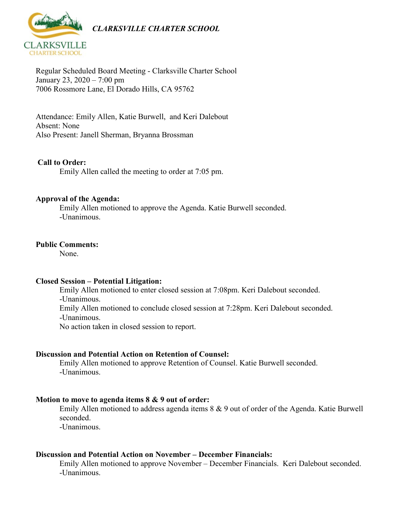

Regular Scheduled Board Meeting - Clarksville Charter School January 23, 2020 – 7:00 pm 7006 Rossmore Lane, El Dorado Hills, CA 95762

Attendance: Emily Allen, Katie Burwell, and Keri Dalebout Absent: None Also Present: Janell Sherman, Bryanna Brossman

## **Call to Order:**

Emily Allen called the meeting to order at 7:05 pm.

#### **Approval of the Agenda:**

Emily Allen motioned to approve the Agenda. Katie Burwell seconded. -Unanimous.

## **Public Comments:**

None.

#### **Closed Session – Potential Litigation:**

Emily Allen motioned to enter closed session at 7:08pm. Keri Dalebout seconded. -Unanimous. Emily Allen motioned to conclude closed session at 7:28pm. Keri Dalebout seconded. -Unanimous. No action taken in closed session to report.

#### **Discussion and Potential Action on Retention of Counsel:**

Emily Allen motioned to approve Retention of Counsel. Katie Burwell seconded. -Unanimous.

#### **Motion to move to agenda items 8 & 9 out of order:**

Emily Allen motioned to address agenda items 8 & 9 out of order of the Agenda. Katie Burwell seconded.

-Unanimous.

## **Discussion and Potential Action on November – December Financials:**

Emily Allen motioned to approve November – December Financials. Keri Dalebout seconded. -Unanimous.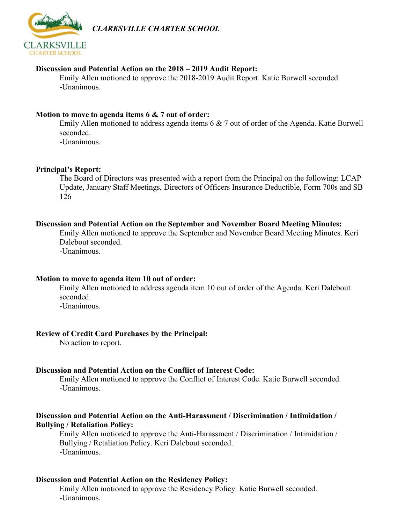*CLARKSVILLE CHARTER SCHOOL*



# **Discussion and Potential Action on the 2018 – 2019 Audit Report:**

Emily Allen motioned to approve the 2018-2019 Audit Report. Katie Burwell seconded. -Unanimous.

# **Motion to move to agenda items 6 & 7 out of order:**

Emily Allen motioned to address agenda items 6 & 7 out of order of the Agenda. Katie Burwell seconded.

-Unanimous.

# **Principal's Report:**

The Board of Directors was presented with a report from the Principal on the following: LCAP Update, January Staff Meetings, Directors of Officers Insurance Deductible, Form 700s and SB 126

# **Discussion and Potential Action on the September and November Board Meeting Minutes:**

Emily Allen motioned to approve the September and November Board Meeting Minutes. Keri Dalebout seconded.

-Unanimous.

# **Motion to move to agenda item 10 out of order:**

Emily Allen motioned to address agenda item 10 out of order of the Agenda. Keri Dalebout seconded.

-Unanimous.

# **Review of Credit Card Purchases by the Principal:**

No action to report.

# **Discussion and Potential Action on the Conflict of Interest Code:**

Emily Allen motioned to approve the Conflict of Interest Code. Katie Burwell seconded. -Unanimous.

## **Discussion and Potential Action on the Anti-Harassment / Discrimination / Intimidation / Bullying / Retaliation Policy:**

Emily Allen motioned to approve the Anti-Harassment / Discrimination / Intimidation / Bullying / Retaliation Policy. Keri Dalebout seconded. -Unanimous.

# **Discussion and Potential Action on the Residency Policy:**

Emily Allen motioned to approve the Residency Policy. Katie Burwell seconded. -Unanimous.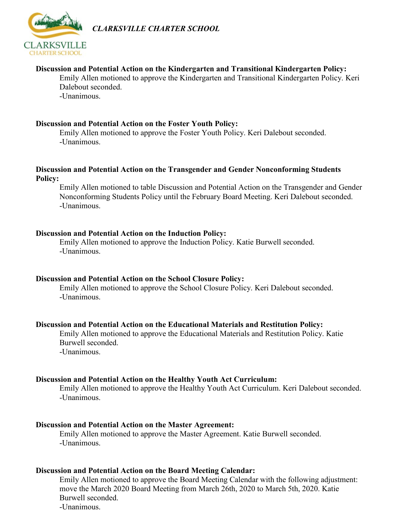

*CLARKSVILLE CHARTER SCHOOL*

## **Discussion and Potential Action on the Kindergarten and Transitional Kindergarten Policy:**

Emily Allen motioned to approve the Kindergarten and Transitional Kindergarten Policy. Keri Dalebout seconded.

-Unanimous.

#### **Discussion and Potential Action on the Foster Youth Policy:**

Emily Allen motioned to approve the Foster Youth Policy. Keri Dalebout seconded. -Unanimous.

## **Discussion and Potential Action on the Transgender and Gender Nonconforming Students Policy:**

Emily Allen motioned to table Discussion and Potential Action on the Transgender and Gender Nonconforming Students Policy until the February Board Meeting. Keri Dalebout seconded. -Unanimous.

## **Discussion and Potential Action on the Induction Policy:**

Emily Allen motioned to approve the Induction Policy. Katie Burwell seconded. -Unanimous.

## **Discussion and Potential Action on the School Closure Policy:**

Emily Allen motioned to approve the School Closure Policy. Keri Dalebout seconded. -Unanimous.

## **Discussion and Potential Action on the Educational Materials and Restitution Policy:**

Emily Allen motioned to approve the Educational Materials and Restitution Policy. Katie Burwell seconded.

-Unanimous.

#### **Discussion and Potential Action on the Healthy Youth Act Curriculum:**

Emily Allen motioned to approve the Healthy Youth Act Curriculum. Keri Dalebout seconded. -Unanimous.

#### **Discussion and Potential Action on the Master Agreement:**

Emily Allen motioned to approve the Master Agreement. Katie Burwell seconded. -Unanimous.

#### **Discussion and Potential Action on the Board Meeting Calendar:**

Emily Allen motioned to approve the Board Meeting Calendar with the following adjustment: move the March 2020 Board Meeting from March 26th, 2020 to March 5th, 2020. Katie Burwell seconded. -Unanimous.